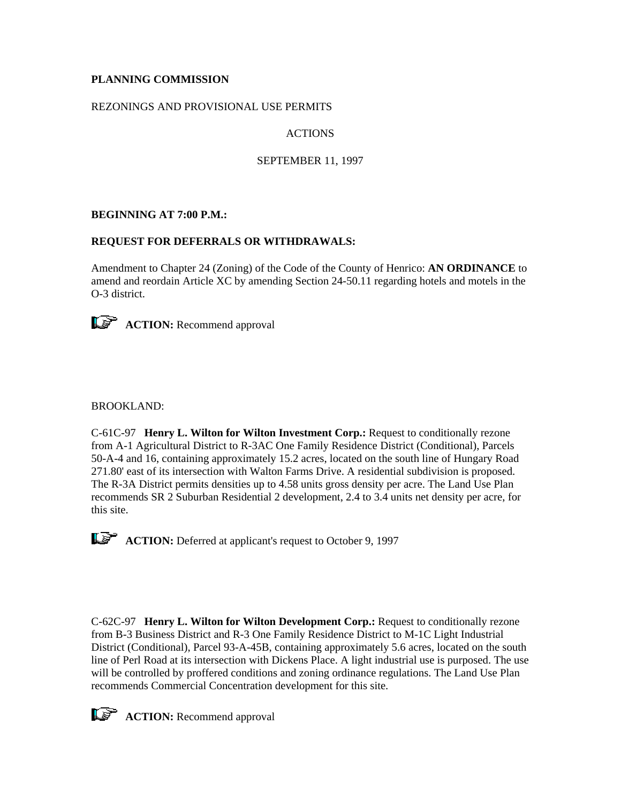## **PLANNING COMMISSION**

### REZONINGS AND PROVISIONAL USE PERMITS

# ACTIONS

### SEPTEMBER 11, 1997

## **BEGINNING AT 7:00 P.M.:**

## **REQUEST FOR DEFERRALS OR WITHDRAWALS:**

Amendment to Chapter 24 (Zoning) of the Code of the County of Henrico: **AN ORDINANCE** to amend and reordain Article XC by amending Section 24-50.11 regarding hotels and motels in the O-3 district.



**ACTION:** Recommend approval

### BROOKLAND:

C-61C-97 **Henry L. Wilton for Wilton Investment Corp.:** Request to conditionally rezone from A-1 Agricultural District to R-3AC One Family Residence District (Conditional), Parcels 50-A-4 and 16, containing approximately 15.2 acres, located on the south line of Hungary Road 271.80' east of its intersection with Walton Farms Drive. A residential subdivision is proposed. The R-3A District permits densities up to 4.58 units gross density per acre. The Land Use Plan recommends SR 2 Suburban Residential 2 development, 2.4 to 3.4 units net density per acre, for this site.

**ACTION:** Deferred at applicant's request to October 9, 1997

C-62C-97 **Henry L. Wilton for Wilton Development Corp.:** Request to conditionally rezone from B-3 Business District and R-3 One Family Residence District to M-1C Light Industrial District (Conditional), Parcel 93-A-45B, containing approximately 5.6 acres, located on the south line of Perl Road at its intersection with Dickens Place. A light industrial use is purposed. The use will be controlled by proffered conditions and zoning ordinance regulations. The Land Use Plan recommends Commercial Concentration development for this site.

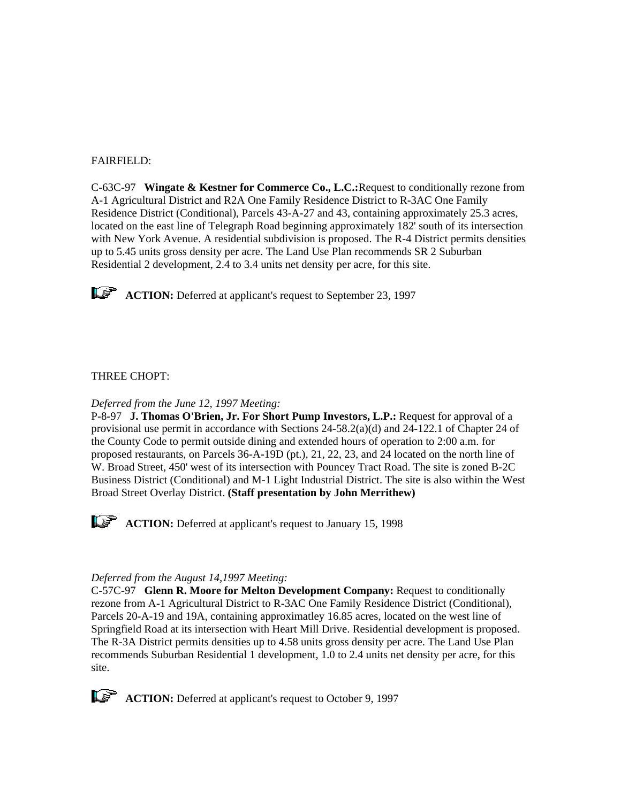### FAIRFIELD:

C-63C-97 **Wingate & Kestner for Commerce Co., L.C.:**Request to conditionally rezone from A-1 Agricultural District and R2A One Family Residence District to R-3AC One Family Residence District (Conditional), Parcels 43-A-27 and 43, containing approximately 25.3 acres, located on the east line of Telegraph Road beginning approximately 182' south of its intersection with New York Avenue. A residential subdivision is proposed. The R-4 District permits densities up to 5.45 units gross density per acre. The Land Use Plan recommends SR 2 Suburban Residential 2 development, 2.4 to 3.4 units net density per acre, for this site.



**ACTION:** Deferred at applicant's request to September 23, 1997

### THREE CHOPT:

#### *Deferred from the June 12, 1997 Meeting:*

P-8-97 **J. Thomas O'Brien, Jr. For Short Pump Investors, L.P.:** Request for approval of a provisional use permit in accordance with Sections 24-58.2(a)(d) and 24-122.1 of Chapter 24 of the County Code to permit outside dining and extended hours of operation to 2:00 a.m. for proposed restaurants, on Parcels 36-A-19D (pt.), 21, 22, 23, and 24 located on the north line of W. Broad Street, 450' west of its intersection with Pouncey Tract Road. The site is zoned B-2C Business District (Conditional) and M-1 Light Industrial District. The site is also within the West Broad Street Overlay District. **(Staff presentation by John Merrithew)**

**ACTION:** Deferred at applicant's request to January 15, 1998

#### *Deferred from the August 14,1997 Meeting:*

C-57C-97 **Glenn R. Moore for Melton Development Company:** Request to conditionally rezone from A-1 Agricultural District to R-3AC One Family Residence District (Conditional), Parcels 20-A-19 and 19A, containing approximatley 16.85 acres, located on the west line of Springfield Road at its intersection with Heart Mill Drive. Residential development is proposed. The R-3A District permits densities up to 4.58 units gross density per acre. The Land Use Plan recommends Suburban Residential 1 development, 1.0 to 2.4 units net density per acre, for this site.

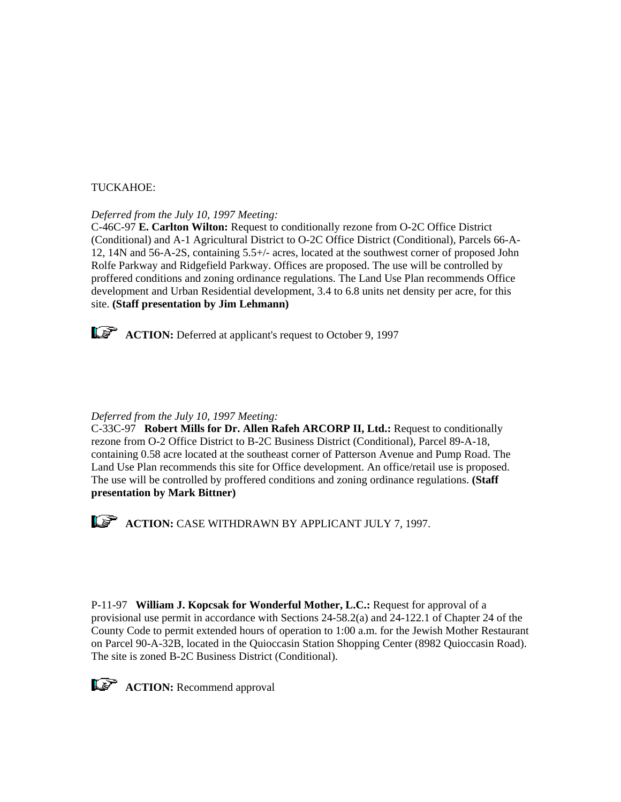### TUCKAHOE:

## *Deferred from the July 10, 1997 Meeting:*

C-46C-97 **E. Carlton Wilton:** Request to conditionally rezone from O-2C Office District (Conditional) and A-1 Agricultural District to O-2C Office District (Conditional), Parcels 66-A-12, 14N and 56-A-2S, containing 5.5+/- acres, located at the southwest corner of proposed John Rolfe Parkway and Ridgefield Parkway. Offices are proposed. The use will be controlled by proffered conditions and zoning ordinance regulations. The Land Use Plan recommends Office development and Urban Residential development, 3.4 to 6.8 units net density per acre, for this site. **(Staff presentation by Jim Lehmann)**



**ACTION:** Deferred at applicant's request to October 9, 1997

### *Deferred from the July 10, 1997 Meeting:*

C-33C-97 **Robert Mills for Dr. Allen Rafeh ARCORP II, Ltd.:** Request to conditionally rezone from O-2 Office District to B-2C Business District (Conditional), Parcel 89-A-18, containing 0.58 acre located at the southeast corner of Patterson Avenue and Pump Road. The Land Use Plan recommends this site for Office development. An office/retail use is proposed. The use will be controlled by proffered conditions and zoning ordinance regulations. **(Staff presentation by Mark Bittner)**



**ACTION:** CASE WITHDRAWN BY APPLICANT JULY 7, 1997.

P-11-97 **William J. Kopcsak for Wonderful Mother, L.C.:** Request for approval of a provisional use permit in accordance with Sections 24-58.2(a) and 24-122.1 of Chapter 24 of the County Code to permit extended hours of operation to 1:00 a.m. for the Jewish Mother Restaurant on Parcel 90-A-32B, located in the Quioccasin Station Shopping Center (8982 Quioccasin Road). The site is zoned B-2C Business District (Conditional).



**ACTION:** Recommend approval